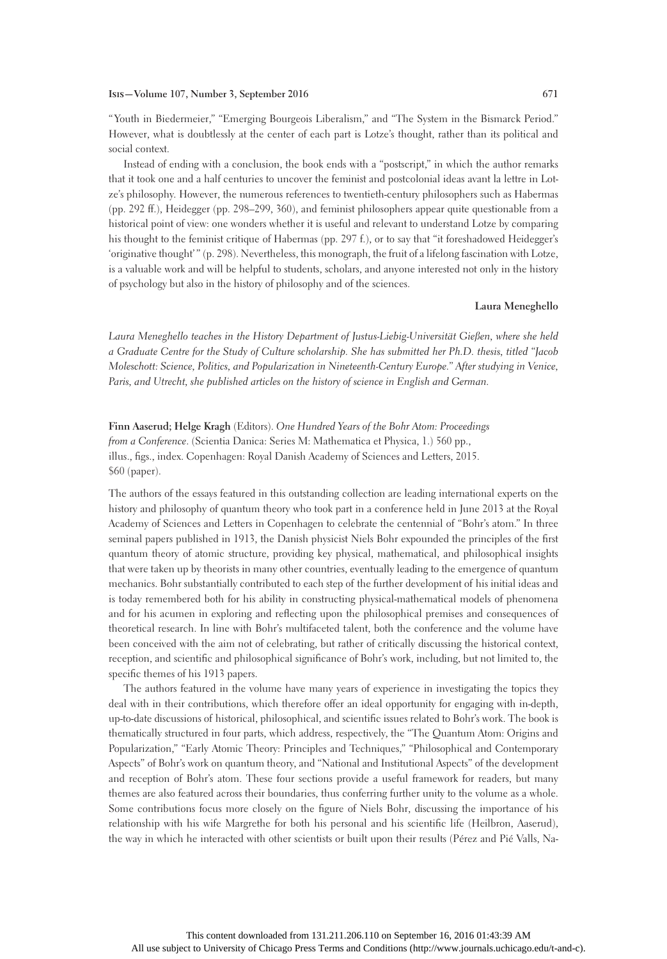## **Isis—Volume 107, Number 3, September 2016 671**

"Youth in Biedermeier," "Emerging Bourgeois Liberalism," and "The System in the Bismarck Period." However, what is doubtlessly at the center of each part is Lotze's thought, rather than its political and social context.

Instead of ending with a conclusion, the book ends with a "postscript," in which the author remarks that it took one and a half centuries to uncover the feminist and postcolonial ideas avant la lettre in Lotze's philosophy. However, the numerous references to twentieth-century philosophers such as Habermas (pp. 292 ff.), Heidegger (pp. 298–299, 360), and feminist philosophers appear quite questionable from a historical point of view: one wonders whether it is useful and relevant to understand Lotze by comparing his thought to the feminist critique of Habermas (pp. 297 f.), or to say that "it foreshadowed Heidegger's 'originative thought' " (p. 298). Nevertheless, this monograph, the fruit of a lifelong fascination with Lotze, is a valuable work and will be helpful to students, scholars, and anyone interested not only in the history of psychology but also in the history of philosophy and of the sciences.

## **Laura Meneghello**

*Laura Meneghello teaches in the History Department of Justus-Liebig-Universität Gießen, where she held a Graduate Centre for the Study of Culture scholarship. She has submitted her Ph.D. thesis, titled "Jacob Moleschott: Science, Politics, and Popularization in Nineteenth-Century Europe." After studying in Venice, Paris, and Utrecht, she published articles on the history of science in English and German.*

**Finn Aaserud; Helge Kragh** (Editors). *One Hundred Years of the Bohr Atom: Proceedings from a Conference*. (Scientia Danica: Series M: Mathematica et Physica, 1.) 560 pp., illus., figs., index. Copenhagen: Royal Danish Academy of Sciences and Letters, 2015. \$60 (paper).

The authors of the essays featured in this outstanding collection are leading international experts on the history and philosophy of quantum theory who took part in a conference held in June 2013 at the Royal Academy of Sciences and Letters in Copenhagen to celebrate the centennial of "Bohr's atom." In three seminal papers published in 1913, the Danish physicist Niels Bohr expounded the principles of the first quantum theory of atomic structure, providing key physical, mathematical, and philosophical insights that were taken up by theorists in many other countries, eventually leading to the emergence of quantum mechanics. Bohr substantially contributed to each step of the further development of his initial ideas and is today remembered both for his ability in constructing physical-mathematical models of phenomena and for his acumen in exploring and reflecting upon the philosophical premises and consequences of theoretical research. In line with Bohr's multifaceted talent, both the conference and the volume have been conceived with the aim not of celebrating, but rather of critically discussing the historical context, reception, and scientific and philosophical significance of Bohr's work, including, but not limited to, the specific themes of his 1913 papers.

The authors featured in the volume have many years of experience in investigating the topics they deal with in their contributions, which therefore offer an ideal opportunity for engaging with in-depth, up-to-date discussions of historical, philosophical, and scientific issues related to Bohr's work. The book is thematically structured in four parts, which address, respectively, the "The Quantum Atom: Origins and Popularization," "Early Atomic Theory: Principles and Techniques," "Philosophical and Contemporary Aspects" of Bohr's work on quantum theory, and "National and Institutional Aspects" of the development and reception of Bohr's atom. These four sections provide a useful framework for readers, but many themes are also featured across their boundaries, thus conferring further unity to the volume as a whole. Some contributions focus more closely on the figure of Niels Bohr, discussing the importance of his relationship with his wife Margrethe for both his personal and his scientific life (Heilbron, Aaserud), the way in which he interacted with other scientists or built upon their results (Pérez and Pié Valls, Na-